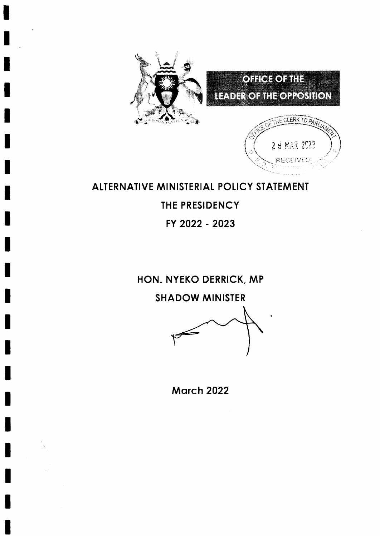





# ALTERNATIVE MINISTERIAL POLICY STATEMENT

THE PRESIDENCY

FY 2022 - 2023

HON. NYEKO DERRICK, MP

**SHADOW MINISTER** 

**March 2022**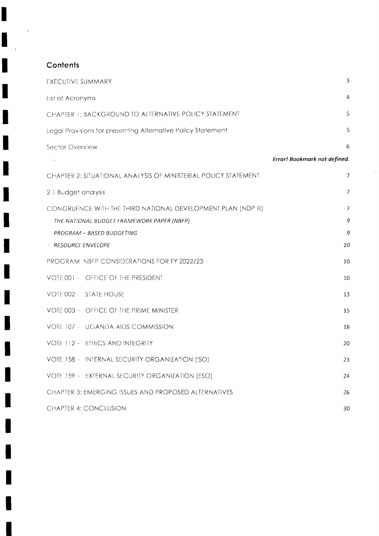## Contents

I

I

I

1

I

I

ł

I

I

ł

H

١

L

| <b>EXECUTIVE SUMMARY</b>                                        | 3                            |
|-----------------------------------------------------------------|------------------------------|
| List of Acronyms                                                | 4                            |
| CHAPTER 1: BACKGROUND TO ALTERNATIVE POLICY STATEMENT           | 5                            |
| Legal Provisions for presenting Alternative Policy Statement    | 5                            |
| Sector Overview                                                 | 6                            |
|                                                                 | Error! Bookmark not defined. |
| CHAPTER 2: SITUATIONAL ANALYSIS OF MINISTERIAL POLICY STATEMENT | $\overline{7}$               |
| 2.1 Budget analysis                                             | $\overline{7}$               |
| CONGRUENCE WITH THE THIRD NATIONAL DEVELOPMENT PLAN (NDP III)   | 7                            |
| THE NATIONAL BUDGET FRAMEWORK PAPER (NBFP)                      | 9                            |
| PROGRAM - BASED BUDGETING                                       | 9                            |
| <b>RESOURCE ENVELOPE</b>                                        | 10                           |
| PROGRAM NBFP CONSIDERATIONS FOR FY 2022/23                      | 10                           |
| VOTE 001 - OFFICE OF THE PRESIDENT                              | 10                           |
| VOTE 002 - STATE HOUSE                                          | 13                           |
| VOTE 003 - OFFICE OF THE PRIME MINISTER                         | 15                           |
| VOTE 107 - UGANDA AIDS COMMISSION                               | 18                           |
| VOTE 112 - ETHICS AND INTEGRITY                                 | 20                           |
| VOTE 158 - INTERNAL SECURITY ORGANIZATION (ISO)                 | 23                           |
| VOTE 159 - EXTERNAL SECURITY ORGANIZATION (ESO)                 | 24                           |
| CHAPTER 3: EMERGING ISSUES AND PROPOSED ALTERNATIVES            | 26                           |
| CHAPTER 4: CONCLUSION                                           | 30                           |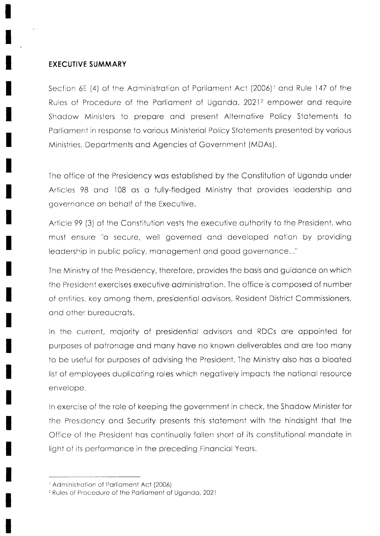#### **EXECUTIVE SUMMARY**

Section 6E (4) of the Administration of Parliament Act (2006)<sup>1</sup> and Rule 147 of the Rules of Procedure of the Parliament of Uganda, 2021<sup>2</sup> empower and require Shadow Ministers to prepare and present Alternative Policy Statements to Parliament in response to various Ministerial Policy Statements presented by various Ministries, Departments and Agencies of Government (MDAs).

The office of the Presidency was established by the Constitution of Uganda under Articles 98 and 108 as a fully-fledged Ministry that provides leadership and aovernance on behalf of the Executive.

Article 99 (3) of the Constitution vests the executive authority to the President, who must ensure "a secure, well governed and developed nation by providing leadership in public policy, management and good governance..."

The Ministry of the Presidency, therefore, provides the basis and guidance on which the President exercises executive administration. The office is composed of number of entities, key among them, presidential advisors, Resident District Commissioners, and other bureaucrats.

In the current, majority of presidential advisors and RDCs are appointed for purposes of patronage and many have no known deliverables and are too many to be useful for purposes of advising the President. The Ministry also has a bloated list of employees duplicating roles which negatively impacts the national resource envelope.

In exercise of the role of keeping the government in check, the Shadow Minister for the Presidency and Security presents this statement with the hindsight that the Office of the President has continually fallen short of its constitutional mandate in light of its performance in the preceding Financial Years.

<sup>&</sup>lt;sup>1</sup> Administration of Parliament Act (2006)

<sup>&</sup>lt;sup>2</sup> Rules of Procedure of the Parliament of Uganda, 2021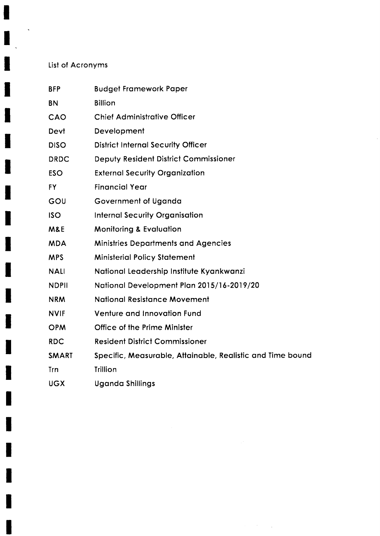## List of Acronyms

 $\ddot{\phantom{1}}$ 

۸

H

٦

I

| <b>BFP</b>     | <b>Budget Framework Paper</b>                              |
|----------------|------------------------------------------------------------|
| <b>BN</b>      | <b>Billion</b>                                             |
| CAO            | <b>Chief Administrative Officer</b>                        |
| Devt           | Development                                                |
| <b>DISO</b>    | <b>District Internal Security Officer</b>                  |
| <b>DRDC</b>    | Deputy Resident District Commissioner                      |
| <b>ESO</b>     | <b>External Security Organization</b>                      |
| <b>FY</b>      | <b>Financial Year</b>                                      |
| GOU            | Government of Uganda                                       |
| <b>ISO</b>     | <b>Internal Security Organisation</b>                      |
| <b>M&amp;E</b> | <b>Monitoring &amp; Evaluation</b>                         |
| <b>MDA</b>     | <b>Ministries Departments and Agencies</b>                 |
| <b>MPS</b>     | <b>Ministerial Policy Statement</b>                        |
| <b>NALI</b>    | National Leadership Institute Kyankwanzi                   |
| <b>NDPII</b>   | National Development Plan 2015/16-2019/20                  |
| <b>NRM</b>     | <b>National Resistance Movement</b>                        |
| <b>NVIF</b>    | <b>Venture and Innovation Fund</b>                         |
| <b>OPM</b>     | Office of the Prime Minister                               |
| <b>RDC</b>     | <b>Resident District Commissioner</b>                      |
| <b>SMART</b>   | Specific, Measurable, Attainable, Realistic and Time bound |
| Trn            | <b>Trillion</b>                                            |
| <b>UGX</b>     | <b>Uganda Shillings</b>                                    |

 $\mathcal{L}^{\text{max}}_{\text{max}}$  ,  $\mathcal{L}^{\text{max}}_{\text{max}}$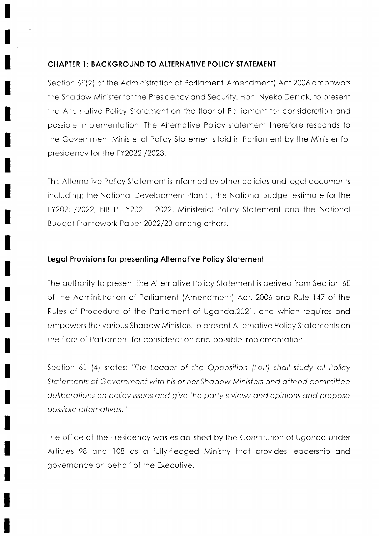## **CHAPTER 1: BACKGROUND TO ALTERNATIVE POLICY STATEMENT**

Section 6E(2) of the Administration of Parliament(Amendment) Act 2006 empowers the Shadow Minister for the Presidency and Security, Hon. Nyeko Derrick, to present the Alternative Policy Statement on the floor of Parliament for consideration and possible implementation. The Alternative Policy statement therefore responds to the Government Ministerial Policy Statements laid in Parliament by the Minister for presidency for the FY2022 /2023.

This Alternative Policy Statement is informed by other policies and legal documents including; the National Development Plan III, the National Budget estimate for the FY202I /2022, NBFP FY2021 12022. Ministerial Policy Statement and the National Budget Framework Paper 2022/23 among others.

## Legal Provisions for presenting Alternative Policy Statement

The authority to present the Alternative Policy Statement is derived from Section 6E of the Administration of Parliament (Amendment) Act, 2006 and Rule 147 of the Rules of Procedure of the Parliament of Uganda, 2021, and which requires and empowers the various Shadow Ministers to present Alternative Policy Statements on the floor of Parliament for consideration and possible implementation.

Section 6E (4) states: 'The Leader of the Opposition (LoP) shall study all Policy Statements of Government with his or her Shadow Ministers and attend committee deliberations on policy issues and give the party's views and opinions and propose possible alternatives."

The office of the Presidency was established by the Constitution of Uganda under Articles 98 and 108 as a fully-fledged Ministry that provides leadership and governance on behalf of the Executive.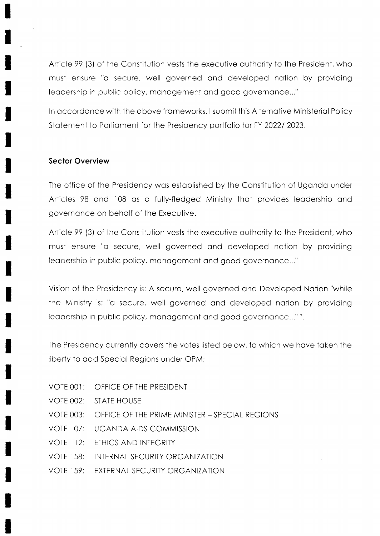Article 99 (3) of the Constitution vests the executive authority to the President, who must ensure "a secure, well governed and developed nation by providing leadership in public policy, management and good governance..."

In accordance with the above frameworks, I submit this Alternative Ministerial Policy Statement to Parliament for the Presidency portfolio for FY 2022/2023.

#### **Sector Overview**

The office of the Presidency was established by the Constitution of Uganda under Articles 98 and 108 as a fully-fledged Ministry that provides leadership and governance on behalf of the Executive.

Article 99 (3) of the Constitution vests the executive authority to the President, who must ensure "a secure, well governed and developed nation by providing leadership in public policy, management and good governance..."

Vision of the Presidency is: A secure, well governed and Developed Nation "while the Ministry is: "a secure, well governed and developed nation by providing leadership in public policy, management and good governance..."".

The Presidency currently covers the votes listed below, to which we have taken the liberty to add Special Regions under OPM;

- VOTE 001: OFFICE OF THE PRESIDENT
- **VOTE 002: STATE HOUSE**
- **VOTE 003:** OFFICE OF THE PRIME MINISTER - SPECIAL REGIONS
- **VOTE 107: UGANDA AIDS COMMISSION**
- **VOTE 112:** ETHICS AND INTEGRITY
- **VOTE 158:** INTERNAL SECURITY ORGANIZATION
- EXTERNAL SECURITY ORGANIZATION **VOTE 159:**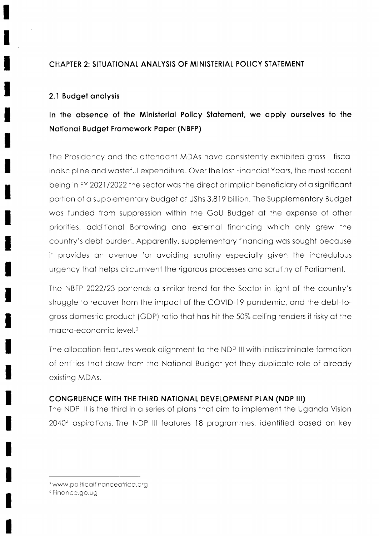## CHAPTER 2: SITUATIONAL ANALYSIS OF MINISTERIAL POLICY STATEMENT

## 2.1 Budget analysis

# In the absence of the Ministerial Policy Statement, we apply ourselves to the National Budget Framework Paper (NBFP)

The Presidency and the attendant MDAs have consistently exhibited gross fiscal indiscipline and wasteful expenditure. Over the last Financial Years, the most recent being in FY 2021/2022 the sector was the direct or implicit beneficiary of a significant portion of a supplementary budget of UShs 3,819 billion. The Supplementary Budget was funded from suppression within the GoU Budget at the expense of other priorities, additional Borrowing and external financing which only grew the country's debt burden. Apparently, supplementary financing was sought because it provides an avenue for avoiding scrutiny especially given the incredulous urgency that helps circumvent the rigorous processes and scrutiny of Parliament.

The NBFP 2022/23 portends a similar trend for the Sector in light of the country's struggle to recover from the impact of the COVID-19 pandemic, and the debt-togross domestic product (GDP) ratio that has hit the 50% ceiling renders it risky at the macro-economic level.<sup>3</sup>

The allocation features weak alignment to the NDP III with indiscriminate formation of entities that draw from the National Budget yet they duplicate role of already existing MDAs.

#### CONGRUENCE WITH THE THIRD NATIONAL DEVELOPMENT PLAN (NDP III)

The NDP III is the third in a series of plans that aim to implement the Uganda Vision 2040<sup>4</sup> aspirations. The NDP III features 18 programmes, identified based on key

<sup>&</sup>lt;sup>3</sup> www.politicalfinanceafrica.org

<sup>&</sup>lt;sup>4</sup> Finance.go.ug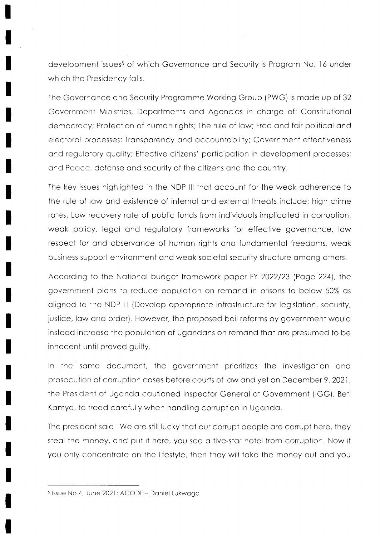development issues<sup>5</sup> of which Governance and Security is Program No. 16 under which the Presidency falls.

The Governance and Security Programme Working Group (PWG) is made up of 32 Government Ministries, Departments and Agencies in charge of: Constitutional democracy; Protection of human rights; The rule of law; Free and fair political and electoral processes; Transparency and accountability; Government effectiveness and regulatory quality; Effective citizens' participation in development processes; and Peace, defense and security of the citizens and the country.

The key issues highlighted in the NDP III that account for the weak adherence to the rule of law and existence of internal and external threats include; high crime rates. Low recovery rate of public funds from individuals implicated in corruption, weak policy, legal and regulatory frameworks for effective governance, low respect for and observance of human rights and fundamental freedoms, weak business support environment and weak societal security structure among others.

According to the National budget framework paper FY 2022/23 (Page 224), the government plans to reduce population on remand in prisons to below 50% as aligned to the NDP III (Develop appropriate infrastructure for legislation, security, justice, law and order). However, the proposed bail reforms by government would instead increase the population of Ugandans on remand that are presumed to be innocent until proved guilty.

In the same document, the government prioritizes the investigation and prosecution of corruption cases before courts of law and yet on December 9, 2021, the President of Uganda cautioned Inspector General of Government (IGG), Beti Kamya, to tread carefully when handling corruption in Uganda.

The president said "We are still lucky that our corrupt people are corrupt here, they steal the money, and put it here, you see a five-star hotel from corruption. Now if you only concentrate on the lifestyle, then they will take the money out and you

<sup>&</sup>lt;sup>5</sup> Issue No.4, June 2021; ACODE - Daniel Lukwago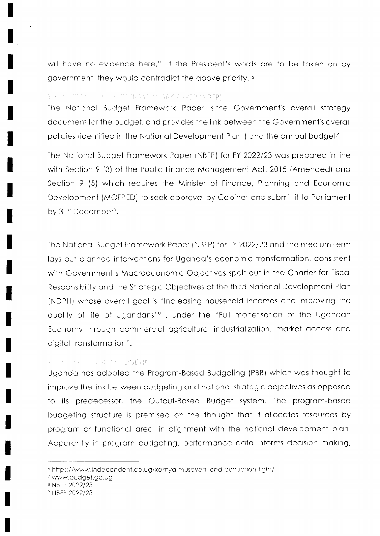will have no evidence here,". If the President's words are to be taken on by government, they would contradict the above priority, 6

#### E PERSON SHALL ALLER FRAME WORK PAPER (MREP).

The National Budget Framework Paper is the Government's overall strategy document for the budget, and provides the link between the Government's overall policies (identified in the National Development Plan) and the annual budget<sup>7</sup>.

The National Budget Framework Paper (NBFP) for FY 2022/23 was prepared in line with Section 9 (3) of the Public Finance Management Act, 2015 (Amended) and Section 9 (5) which requires the Minister of Finance, Planning and Economic Development (MOFPED) to seek approval by Cabinet and submit it to Parliament by 31st December<sup>8</sup>.

The National Budget Framework Paper (NBFP) for FY 2022/23 and the medium-term lays out planned interventions for Uganda's economic transformation, consistent with Government's Macroeconomic Objectives spelt out in the Charter for Fiscal Responsibility and the Strategic Objectives of the third National Development Plan (NDPIII) whose overall goal is "Increasing household incomes and improving the quality of life of Ugandans"<sup>9</sup>, under the "Full monetisation of the Ugandan Economy through commercial agriculture, industrialization, market access and digital transformation".

#### PROFILAM BASE MUDGETING

Uganda has adopted the Program-Based Budgeting (PBB) which was thought to improve the link between budgeting and national strategic objectives as opposed to its predecessor, the Output-Based Budget system. The program-based budgeting structure is premised on the thought that it allocates resources by program or functional area, in alignment with the national development plan. Apparently in program budgeting, performance data informs decision making,

<sup>&</sup>lt;sup>6</sup> https://www.independent.co.ug/kamya-museveni-and-corruption-fight/

<sup>/</sup>www.budget.go.ug

<sup>8</sup> NBFP 2022/23

<sup>9</sup> NBFP 2022/23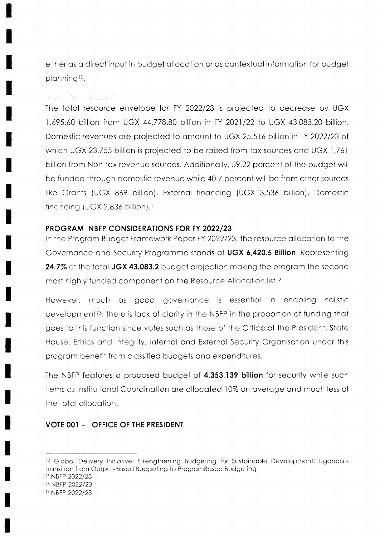either as a direct input in budget allocation or as contextual information for budget planning<sup>10</sup>.

#### RENOUNCE SNOT LOPE

The total resource envelope for FY 2022/23 is projected to decrease by UGX 1,695.60 billion from UGX 44,778.80 billion in FY 2021/22 to UGX 43,083.20 billion. Domestic revenues are projected to amount to UGX 25,516 billion in FY 2022/23 of which UGX 23,755 billion is projected to be raised from tax sources and UGX 1,761 billion from Non-tax revenue sources. Additionally, 59.22 percent of the budget will be funded through domestic revenue while 40.7 percent will be from other sources like Grants (UGX 869 billion), External financing (UGX 3,536 billion), Domestic financing (UGX 2,836 billion).<sup>11</sup>

#### PROGRAM NBFP CONSIDERATIONS FOR FY 2022/23

In the Program Budget Framework Paper FY 2022/23, the resource allocation to the Governance and Security Programme stands at UGX 6,420.5 Billion. Representing 24.7% of the total UGX 43.083.2 budget projection making the program the second most highly funded component on the Resource Allocation list<sup>12</sup>.

However, much as good governance is essential in enabling holistic development<sup>13</sup>, there is lack of clarity in the NBFP in the proportion of funding that goes to this function since votes such as those of the Office of the President, State House, Ethics and Integrity, Internal and External Security Organisation under this program benefit from classified budgets and expenditures.

The NBFP features a proposed budget of 4,353.139 billion for security while such items as Institutional Coordination are allocated 10% on average and much less of the total allocation.

## VOTE 001 - OFFICE OF THE PRESIDENT

<sup>11</sup> NBFP 2022/23

<sup>&</sup>lt;sup>10</sup> Global Delivery Initiative; Strengthening Budgeting for Sustainable Development: Uganda's Transition from Output-Based Budgeting to ProgramBased Budgeting

<sup>&</sup>lt;sup>12</sup> NBFP 2022/23

<sup>&</sup>lt;sup>13</sup> NBFP 2022/23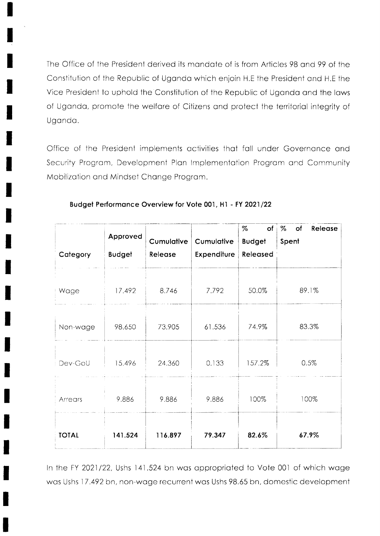The Office of the President derived its mandate of is from Articles 98 and 99 of the Constitution of the Republic of Uganda which enjoin H.E the President and H.E the Vice President to uphold the Constitution of the Republic of Uganda and the laws of Uganda, promote the welfare of Citizens and protect the territorial integrity of Uganda.

Office of the President implements activities that fall under Governance and Security Program, Development Plan Implementation Program and Community Mobilization and Mindset Change Program.

| Category     | Approved<br><b>Budget</b> | Cumulative<br>Release | Cumulative<br>Expenditure | %<br>of<br><b>Budget</b><br>Released | %<br>of<br>Release<br>Spent |
|--------------|---------------------------|-----------------------|---------------------------|--------------------------------------|-----------------------------|
| Wage         | 17.492                    | 8.746                 | 7.792                     | 50.0%                                | 89.1%                       |
| Non-wage     | 98.650                    | 73.905                | 61.536                    | 74.9%                                | 83.3%                       |
| Dev-GoU      | 15.496                    | 24.360                | 0.133                     | 157.2%                               | 0.5%                        |
| Arrears      | 9.886                     | 9.886                 | 9.886                     | 100%                                 | 100%                        |
| <b>TOTAL</b> | 141.524                   | 116.897               | 79.347                    | 82.6%                                | 67.9%                       |

#### Budget Performance Overview for Vote 001, H1 - FY 2021/22

In the FY 2021/22, Ushs 141.524 bn was appropriated to Vote 001 of which wage was Ushs 17.492 bn, non-wage recurrent was Ushs 98.65 bn, domestic development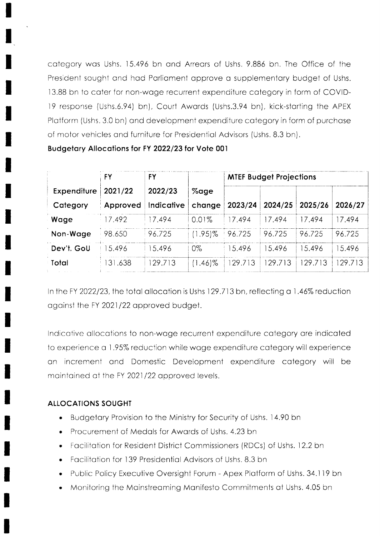category was Ushs. 15.496 bn and Arrears of Ushs. 9.886 bn. The Office of the President sought and had Parliament approve a supplementary budget of Ushs. 13.88 bn to cater for non-wage recurrent expenditure category in form of COVID-19 response (Ushs.6.94) bn), Court Awards (Ushs.3.94 bn), kick-starting the APEX Platform (Ushs. 3.0 bn) and development expenditure category in form of purchase of motor vehicles and furniture for Presidential Advisors (Ushs. 8.3 bn).

Budgetary Allocations for FY 2022/23 for Vote 001

|             | FY       | FY         |            | <b>MTEF Budget Projections</b> |         |         |         |  |
|-------------|----------|------------|------------|--------------------------------|---------|---------|---------|--|
| Expenditure | 2021/22  | 2022/23    | %age       |                                |         |         |         |  |
| Category    | Approved | Indicative | change     | 2023/24                        | 2024/25 | 2025/26 | 2026/27 |  |
| Wage        | 17.492   | 7.494      | $0.01\%$   | 17.494                         | 17.494  | 17.494  | 7.494   |  |
| Non-Wage    | 98.650   | 96.725     | $(1.95)\%$ | 96.725                         | 96.725  | 96.725  | 96.725  |  |
| Dev't. GoU  | 5.496    | 5.496      | $0\%$      | 15.496                         | 15.496  | 15.496  | 5.496   |  |
| Total       | 31.638   | 129.713    | $(1.46)\%$ | 29.713                         | 29.713  | 29.713  | 29.713  |  |

In the FY 2022/23, the total allocation is Ushs 129.713 bn, reflecting a 1.46% reduction against the FY 2021/22 approved budget.

Indicative allocations to non-wage recurrent expenditure category are indicated to experience a 1.95% reduction while wage expenditure category will experience an increment and Domestic Development expenditure category will be maintained at the FY 2021/22 approved levels.

## **ALLOCATIONS SOUGHT**

- Budgetary Provision to the Ministry for Security of Ushs. 14.90 bn  $\bullet$
- Procurement of Medals for Awards of Ushs, 4.23 bn
- Facilitation for Resident District Commissioners (RDCs) of Ushs. 12.2 bn
- Facilitation for 139 Presidential Advisors of Ushs, 8.3 bn
- Public Policy Executive Oversight Forum Apex Platform of Ushs. 34.119 bn
- Monitoring the Mainstreaming Manifesto Commitments at Ushs. 4.05 bn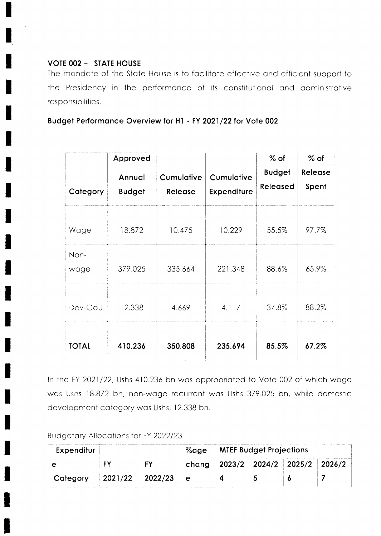## **VOTE 002 - STATE HOUSE**

The mandate of the State House is to facilitate effective and efficient support to the Presidency in the performance of its constitutional and administrative responsibilities.

Budget Performance Overview for H1 - FY 2021/22 for Vote 002

| Category     | Approved<br>Annual<br><b>Budget</b> | Cumulative<br>Release | Cumulative<br>Expenditure | $%$ of<br><b>Budget</b><br>Released | $%$ of<br>Release<br>Spent |
|--------------|-------------------------------------|-----------------------|---------------------------|-------------------------------------|----------------------------|
| Wage         | 18.872                              | 10.475                | 10.229                    | 55.5%                               | 97.7%                      |
| Non-<br>wage | 379.025                             | 335.664               | 221.348                   | 88.6%                               | 65.9%                      |
| Dev-GoU      | 12.338                              | 4.669                 | 4.117                     | 37.8%                               | 88.2%                      |
| <b>TOTAL</b> | 410.236                             | 350.808               | 235.694                   | 85.5%                               | 67.2%                      |

In the FY 2021/22, Ushs 410.236 bn was appropriated to Vote 002 of which wage was Ushs 18.872 bn, non-wage recurrent was Ushs 379.025 bn, while domestic development category was Ushs. 12.338 bn.

Budgetary Allocations for FY 2022/23

| Expenditur |                   |  | %age   MTEF Budget Projections |  |                                           |  |
|------------|-------------------|--|--------------------------------|--|-------------------------------------------|--|
|            |                   |  |                                |  | chang   2023/2   2024/2   2025/2   2026/2 |  |
| Category   | $2021/22$ 2022/23 |  |                                |  |                                           |  |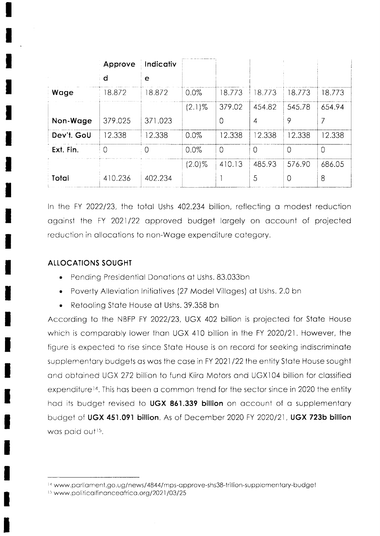|            | Approve | Indicativ |           |          |        |          |         |
|------------|---------|-----------|-----------|----------|--------|----------|---------|
|            | d       | e         |           |          |        |          |         |
| Wage       | 18.872  | 18.872    | 0.0%      | 18.773   | 8.773  | 18.773   | 18.773  |
|            |         |           | $(2.1)\%$ | 379.02   | 454.82 | 545.78   | 654.94  |
| Non-Wage   | 379.025 | 371.023   |           | $\Omega$ | 4      | 9        | 7       |
| Dev't. GoU | 12.338  | 12.338    | 0.0%      | 12.338   | 2.338  | 12.338   | 12.338  |
| Ext. Fin.  | 0       | : 0       | 0.0%      | $\Omega$ | 0      | $\Omega$ | $\circ$ |
|            |         |           | $(2.0)\%$ | 410.13   | 485.93 | 576.90   | 686.05  |
| Total      | 410.236 | 402.234   |           |          | 5      | $\Omega$ | 8       |

In the FY 2022/23, the total Ushs 402.234 billion, reflecting a modest reduction against the FY 2021/22 approved budget largely on account of projected reduction in allocations to non-Wage expenditure category.

## **ALLOCATIONS SOUGHT**

- Pending Presidential Donations at Ushs. 83.033bn
- Poverty Alleviation Initiatives (27 Model Villages) at Ushs. 2.0 bn
- Retooling State House at Ushs. 39.358 bn

According to the NBFP FY 2022/23, UGX 402 billion is projected for State House which is comparably lower than UGX 410 billion in the FY 2020/21. However, the figure is expected to rise since State House is on record for seeking indiscriminate supplementary budgets as was the case in FY 2021/22 the entity State House sought and obtained UGX 272 billion to fund Kiira Motors and UGX104 billion for classified expenditure<sup>14</sup>. This has been a common trend for the sector since in 2020 the entity had its budget revised to UGX 861.339 billion on account of a supplementary budget of UGX 451.091 billion. As of December 2020 FY 2020/21, UGX 723b billion was paid out<sup>15</sup>.

<sup>&</sup>lt;sup>14</sup> www.parliament.go.ug/news/4844/mps-approve-shs38-trillion-supplementary-budget <sup>15</sup> www.politicalfinanceafrica.org/2021/03/25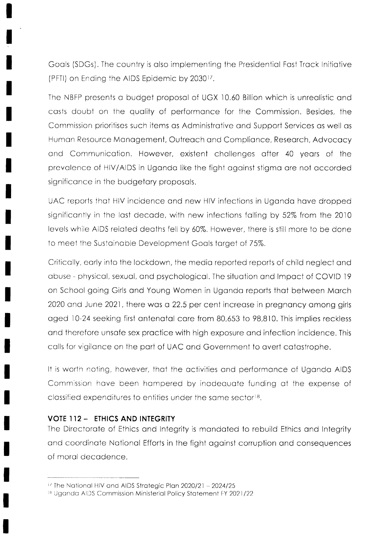Goals (SDGs). The country is also implementing the Presidential Fast Track Initiative (PFTI) on Ending the AIDS Epidemic by 2030<sup>17</sup>.

The NBFP presents a budget proposal of UGX 10.60 Billion which is unrealistic and casts doubt on the quality of performance for the Commission. Besides, the Commission prioritises such items as Administrative and Support Services as well as Human Resource Management, Outreach and Compliance, Research, Advocacy and Communication. However, existent challenges after 40 years of the prevalence of HIV/AIDS in Uganda like the fight against stigma are not accorded significance in the budgetary proposals.

UAC reports that HIV incidence and new HIV infections in Uganda have dropped significantly in the last decade, with new infections falling by 52% from the 2010 levels while AIDS related deaths fell by 60%. However, there is still more to be done to meet the Sustainable Development Goals target of 75%.

Critically, early into the lockdown, the media reported reports of child neglect and abuse - physical, sexual, and psychological. The situation and Impact of COVID 19 on School going Girls and Young Women in Uganda reports that between March 2020 and June 2021, there was a 22.5 per cent increase in pregnancy among girls aged 10-24 seeking first antenatal care from 80,653 to 98,810. This implies reckless and therefore unsafe sex practice with high exposure and infection incidence. This calls for vigilance on the part of UAC and Government to avert catastrophe.

It is worth noting, however, that the activities and performance of Uganda AIDS Commission have been hampered by inadequate funding at the expense of classified expenditures to entities under the same sector<sup>18</sup>.

#### **VOTE 112 - ETHICS AND INTEGRITY**

The Directorate of Ethics and Integrity is mandated to rebuild Ethics and Integrity and coordinate National Efforts in the fight against corruption and consequences of moral decadence.

<sup>&</sup>lt;sup>17</sup> The National HIV and AIDS Strategic Plan 2020/21 - 2024/25

<sup>&</sup>lt;sup>18</sup> Uganda AIDS Commission Ministerial Policy Statement FY 2021/22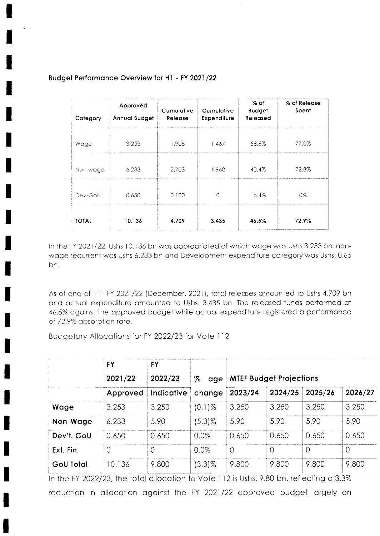| Category | Approved<br>Annual Budget | Cumulative<br>Release | Cumulative<br>Expenditure | $\%$ of<br><b>Budget</b><br>Released | % of Release<br>Spent |
|----------|---------------------------|-----------------------|---------------------------|--------------------------------------|-----------------------|
| Wage     | 3.253                     | 1.905                 | 1.467                     | 58.6%                                | 77.0%                 |
| Non wage | 6.233                     | 2.703                 | 1.968                     | 43.4%                                | 72.8%                 |
| Dev-GoU  | 0.650                     | 0.100                 | $\Omega$                  | 15.4%                                | 0%                    |
| TOTAL    | 10.136                    | 4.709                 | 3.435                     | 46.5%                                | 72.9%                 |

#### Budget Performance Overview for H1 - FY 2021/22

In the FY 2021/22, Ushs 10.136 bn was appropriated of which wage was Ushs 3.253 bn, nonwage recurrent was Ushs 6.233 bn and Development expenditure category was Ushs. 0.65 bn.

As of end of H1- FY 2021/22 (December, 2021), total releases amounted to Ushs 4.709 bn and actual expenditure amounted to Ushs. 3.435 bn. The released funds performed at 46.5% against the approved budget while actual expenditure registered a performance of 72.9% absorption rate.

Budgetary Allocations for FY 2022/23 for Vote 112

|            | <b>FY</b> | <b>FY</b>  |           |          |                                |         |          |
|------------|-----------|------------|-----------|----------|--------------------------------|---------|----------|
|            | 2021/22   | 2022/23    | %<br>age  |          | <b>MTEF Budget Projections</b> |         |          |
|            | Approved  | Indicative | change    | 2023/24  | 2024/25                        | 2025/26 | 2026/27  |
| Wage       | 3.253     | 3.250      | $(0.1)$ % | 3.250    | 3.250                          | 3.250   | 3.250    |
| Non-Wage   | 6.233     | 5.90       | $(5.3)\%$ | 5.90     | 5.90                           | 5.90    | 5.90     |
| Dev't. GoU | 0.650     | 0.650      | $0.0\%$   | 0.650    | 0.650                          | 0.650   | 0.650    |
| Ext. Fin.  | $\cup$    | $\left($   | 0.0%      | $\Omega$ | $\circ$                        |         | $\Omega$ |
| GoU Total  | 10.136    | 9.800      | $(3.3)\%$ | 9.800    | 9.800                          | 9.800   | 9.800    |

In the FY 2022/23, the total allocation to Vote 112 is Ushs. 9.80 bn, reflecting a 3.3% reduction in allocation against the FY 2021/22 approved budget largely on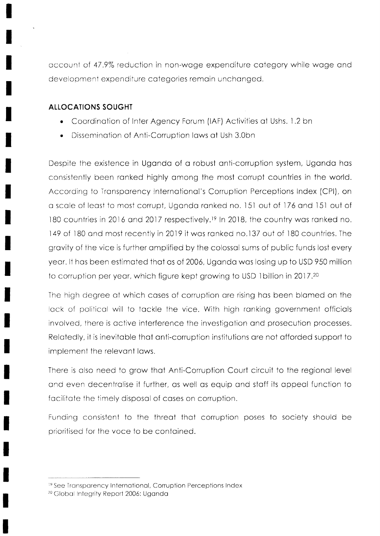cccount of 47 .9% reduction in non-woge expenditure cotegory while woge ond development expenditure categories remain unchanged.

## ALLOCATIONS SOUGHT

- . Coordinotion of Inter Agency Forum (lAF) Activities of Ushs. 1.2 bn
- . Disseminotion of Anti-Corruption lows of Ush 3.Obn

Despite the existence in Uganda of a robust anti-corruption system, Uganda has consistently been ronked highly omong ihe most corrupt countries in the world. According to Tronsparency lnternotionol's Corruption Percepiions Index (CPl), on a scale of least to most corrupt, Uganda ranked no. 151 out of 176 and 151 out of 180 countries in 2016 and 2017 respectively.<sup>19</sup> In 2018, the country was ranked no. 149 of 180 and most recently in 2019 it was ranked no.137 out of 180 countries. The gravity of the vice is further amplified by the colossal sums of public funds lost every yeor. lt hos been estimoted thot os of 2006, Ugondo wos losing up 1o USD ?50 million to corruption per year, which figure kept growing to USD 1 billion in 2017.<sup>20</sup>

The high degree of which coses of corruption ore rising hos been blomed on the lack of political will to tackle the vice. With high ranking government officials involved, ihere is octive interference the investigotion ond prosecution processes. Relatedly, it is inevitable that anti-corruption institutions are not afforded support to implement the relevont lows.

There is olso need to grow thot Anti-Corruption Courl circuit to the regionol level ond even decentrolise it further, os well os equip ond stoff its oppeol function to facilitate the timely disposal of cases on corruption.

Funding consistent to the threot thot corruption poses to society should be prioritised for the voce to be contoined.

<sup>&</sup>lt;sup>19</sup> See Transparency International, Corruption Perceptions Index

<sup>&</sup>lt;sup>20</sup> Global Integrity Report 2006: Uganda